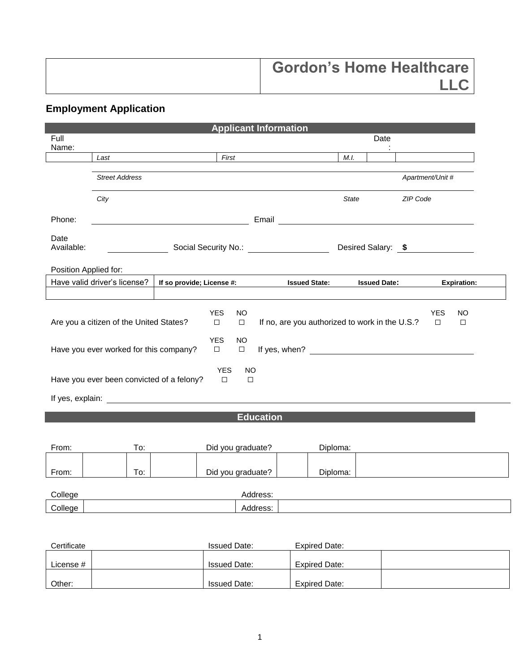| <b>Gordon's Home Healthcare</b> |
|---------------------------------|
|                                 |

## **Employment Application**

| <b>Applicant Information</b>                                                                                                                                                                                                                                                                                                                                                                  |                              |                                                                                                                                                                                                                                      |                     |                  |  |                      |                     |          |                  |                    |
|-----------------------------------------------------------------------------------------------------------------------------------------------------------------------------------------------------------------------------------------------------------------------------------------------------------------------------------------------------------------------------------------------|------------------------------|--------------------------------------------------------------------------------------------------------------------------------------------------------------------------------------------------------------------------------------|---------------------|------------------|--|----------------------|---------------------|----------|------------------|--------------------|
| Full<br>Name:                                                                                                                                                                                                                                                                                                                                                                                 |                              |                                                                                                                                                                                                                                      |                     |                  |  |                      |                     | Date     |                  |                    |
|                                                                                                                                                                                                                                                                                                                                                                                               | Last                         |                                                                                                                                                                                                                                      | First               |                  |  |                      | M.I.                |          |                  |                    |
|                                                                                                                                                                                                                                                                                                                                                                                               | <b>Street Address</b>        |                                                                                                                                                                                                                                      |                     |                  |  |                      |                     |          | Apartment/Unit # |                    |
|                                                                                                                                                                                                                                                                                                                                                                                               | City                         |                                                                                                                                                                                                                                      |                     |                  |  |                      | <b>State</b>        | ZIP Code |                  |                    |
| Phone:                                                                                                                                                                                                                                                                                                                                                                                        |                              | <u>in the contract of the contract of the contract of the contract of the contract of the contract of the contract of the contract of the contract of the contract of the contract of the contract of the contract of the contra</u> |                     |                  |  |                      |                     |          |                  |                    |
| Date<br>Available:                                                                                                                                                                                                                                                                                                                                                                            | Desired Salary: \$           |                                                                                                                                                                                                                                      |                     |                  |  |                      |                     |          |                  |                    |
| Position Applied for:                                                                                                                                                                                                                                                                                                                                                                         |                              |                                                                                                                                                                                                                                      |                     |                  |  |                      |                     |          |                  |                    |
|                                                                                                                                                                                                                                                                                                                                                                                               | Have valid driver's license? | If so provide; License #: Issued State:                                                                                                                                                                                              |                     |                  |  |                      | <b>Issued Date:</b> |          |                  | <b>Expiration:</b> |
| <b>YES</b><br><b>NO</b><br><b>YES</b><br><b>NO</b><br>If no, are you authorized to work in the U.S.?<br>Are you a citizen of the United States?<br>$\Box$<br>$\Box$<br>$\Box$<br>$\Box$<br><b>YES</b><br><b>NO</b><br>Have you ever worked for this company?<br>If yes, when?<br>$\Box$<br>$\Box$<br><b>YES</b><br><b>NO</b><br>Have you ever been convicted of a felony?<br>$\Box$<br>$\Box$ |                              |                                                                                                                                                                                                                                      |                     |                  |  |                      |                     |          |                  |                    |
|                                                                                                                                                                                                                                                                                                                                                                                               |                              |                                                                                                                                                                                                                                      |                     | <b>Education</b> |  |                      |                     |          |                  |                    |
| From:                                                                                                                                                                                                                                                                                                                                                                                         | To:                          |                                                                                                                                                                                                                                      | Did you graduate?   |                  |  | Diploma:             |                     |          |                  |                    |
| From:                                                                                                                                                                                                                                                                                                                                                                                         | To:                          |                                                                                                                                                                                                                                      | Did you graduate?   |                  |  | Diploma:             |                     |          |                  |                    |
| College                                                                                                                                                                                                                                                                                                                                                                                       |                              |                                                                                                                                                                                                                                      |                     | Address:         |  |                      |                     |          |                  |                    |
| College                                                                                                                                                                                                                                                                                                                                                                                       |                              |                                                                                                                                                                                                                                      |                     | Address:         |  |                      |                     |          |                  |                    |
| Certificate                                                                                                                                                                                                                                                                                                                                                                                   |                              |                                                                                                                                                                                                                                      | <b>Issued Date:</b> |                  |  | <b>Expired Date:</b> |                     |          |                  |                    |

| Certificate | ssued Date:         | Expired Date:        |  |
|-------------|---------------------|----------------------|--|
|             |                     |                      |  |
| License #   | <b>Issued Date:</b> | <b>Expired Date:</b> |  |
|             |                     |                      |  |
| Other:      | <b>Issued Date:</b> | Expired Date:        |  |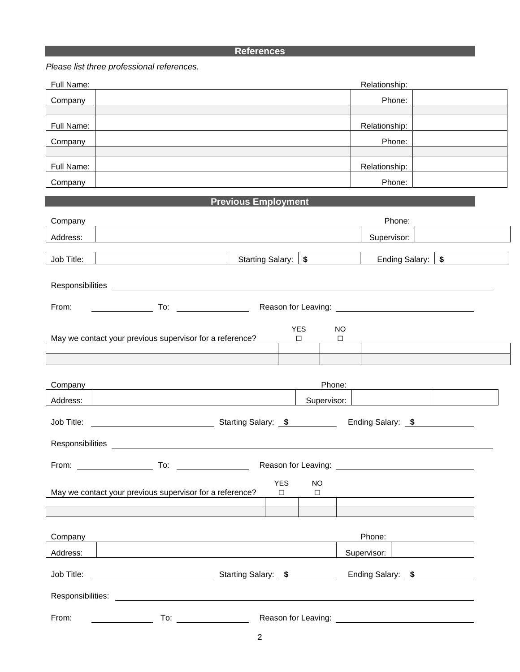## **References**

## *Please list three professional references.*

| Full Name: | Relationship: |  |
|------------|---------------|--|
| Company    | Phone:        |  |
|            |               |  |
| Full Name: | Relationship: |  |
| Company    | Phone:        |  |
|            |               |  |
| Full Name: | Relationship: |  |
| Company    | Phone:        |  |

## **Previous Employment**

| Company    |                                                                                                                                                                                                                                |                       |                      |                     | Phone:                                                                                                                                                                                                                         |  |  |
|------------|--------------------------------------------------------------------------------------------------------------------------------------------------------------------------------------------------------------------------------|-----------------------|----------------------|---------------------|--------------------------------------------------------------------------------------------------------------------------------------------------------------------------------------------------------------------------------|--|--|
| Address:   |                                                                                                                                                                                                                                |                       |                      |                     | Supervisor:                                                                                                                                                                                                                    |  |  |
| Job Title: |                                                                                                                                                                                                                                | Starting Salary:   \$ |                      |                     | Ending Salary: \$                                                                                                                                                                                                              |  |  |
|            | Responsibilities experience and the contract of the contract of the contract of the contract of the contract of the contract of the contract of the contract of the contract of the contract of the contract of the contract o |                       |                      |                     |                                                                                                                                                                                                                                |  |  |
| From:      | To: Reason for Leaving: To: The Contract of Leaving: To: The Contract of Reason for Leaving:                                                                                                                                   |                       |                      |                     |                                                                                                                                                                                                                                |  |  |
|            | May we contact your previous supervisor for a reference?                                                                                                                                                                       |                       | <b>YES</b><br>$\Box$ | <b>NO</b><br>$\Box$ |                                                                                                                                                                                                                                |  |  |
| Company    |                                                                                                                                                                                                                                |                       |                      | Phone:              |                                                                                                                                                                                                                                |  |  |
| Address:   |                                                                                                                                                                                                                                |                       |                      | Supervisor:         |                                                                                                                                                                                                                                |  |  |
|            |                                                                                                                                                                                                                                |                       |                      |                     |                                                                                                                                                                                                                                |  |  |
|            |                                                                                                                                                                                                                                |                       |                      |                     |                                                                                                                                                                                                                                |  |  |
|            |                                                                                                                                                                                                                                |                       |                      |                     |                                                                                                                                                                                                                                |  |  |
|            | May we contact your previous supervisor for a reference?                                                                                                                                                                       | <b>YES</b><br>$\Box$  | <b>NO</b><br>$\Box$  |                     |                                                                                                                                                                                                                                |  |  |
|            |                                                                                                                                                                                                                                |                       |                      |                     |                                                                                                                                                                                                                                |  |  |
|            | Company Company Company Company Company Company Company Company Company Company Company Company Company Company                                                                                                                |                       |                      |                     | Phone: The contract of the contract of the contract of the contract of the contract of the contract of the contract of the contract of the contract of the contract of the contract of the contract of the contract of the con |  |  |
| Address:   |                                                                                                                                                                                                                                |                       |                      |                     | Supervisor:                                                                                                                                                                                                                    |  |  |
| Job Title: | <b>Starting Salary: \$</b>                                                                                                                                                                                                     |                       |                      |                     | Ending Salary: \$                                                                                                                                                                                                              |  |  |
|            | Responsibilities: <b>Example 2018</b>                                                                                                                                                                                          |                       |                      |                     |                                                                                                                                                                                                                                |  |  |
| From:      | To:                                                                                                                                                                                                                            | Reason for Leaving:   |                      |                     |                                                                                                                                                                                                                                |  |  |